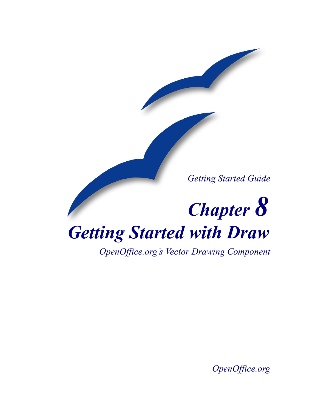*Getting Started Guide*

# *Chapter 8 Getting Started with Draw*

*OpenOffice.org's Vector Drawing Component*

*OpenOffice.org*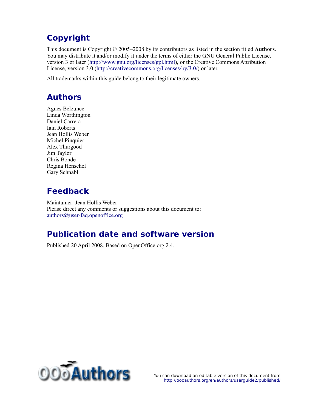### <span id="page-1-3"></span>**Copyright**

This document is Copyright © 2005–2008 by its contributors as listed in the section titled **Authors**. You may distribute it and/or modify it under the terms of either the GNU General Public License, version 3 or later [\(http://www.gnu.org/licenses/gpl.html\)](http://www.gnu.org/licenses/gpl.html), or the Creative Commons Attribution License, version 3.0 [\(http://creativecommons.org/licenses/by/3.0/\)](http://creativecommons.org/licenses/by/3.0/) or later.

All trademarks within this guide belong to their legitimate owners.

### <span id="page-1-2"></span>**Authors**

Agnes Belzunce Linda Worthington Daniel Carrera Iain Roberts Jean Hollis Weber Michel Pinquier Alex Thurgood Jim Taylor Chris Bonde Regina Henschel Gary Schnabl

### <span id="page-1-1"></span>**Feedback**

Maintainer: Jean Hollis Weber Please direct any comments or suggestions about this document to: [authors@user-faq.openoffice.org](mailto:authors@user-faq.openoffice.org)

### <span id="page-1-0"></span>**Publication date and software version**

Published 20 April 2008. Based on OpenOffice.org 2.4.



You can download an editable version of this document from <http://oooauthors.org/en/authors/userguide2/published/>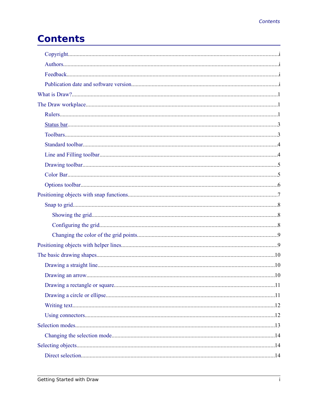# **Contents**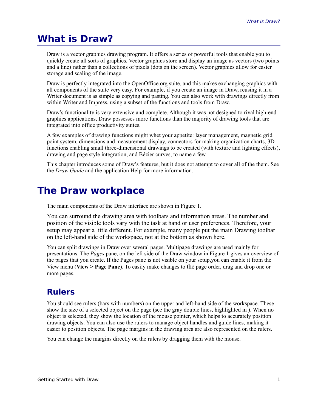## <span id="page-4-2"></span>**What is Draw?**

Draw is a vector graphics drawing program. It offers a series of powerful tools that enable you to quickly create all sorts of graphics. Vector graphics store and display an image as vectors (two points and a line) rather than a collections of pixels (dots on the screen). Vector graphics allow for easier storage and scaling of the image.

Draw is perfectly integrated into the OpenOffice.org suite, and this makes exchanging graphics with all components of the suite very easy. For example, if you create an image in Draw, reusing it in a Writer document is as simple as copying and pasting. You can also work with drawings directly from within Writer and Impress, using a subset of the functions and tools from Draw.

Draw's functionality is very extensive and complete. Although it was not designed to rival high-end graphics applications, Draw possesses more functions than the majority of drawing tools that are integrated into office productivity suites.

A few examples of drawing functions might whet your appetite: layer management, magnetic grid point system, dimensions and measurement display, connectors for making organization charts, 3D functions enabling small three-dimensional drawings to be created (with texture and lighting effects), drawing and page style integration, and Bézier curves, to name a few.

This chapter introduces some of Draw's features, but it does not attempt to cover all of the them. See the *Draw Guide* and the application Help for more information.

# <span id="page-4-1"></span>**The Draw workplace**

The main components of the Draw interface are shown in [Figure 1.](#page-5-0)

You can surround the drawing area with toolbars and information areas. The number and position of the visible tools vary with the task at hand or user preferences. Therefore, your setup may appear a little different. For example, many people put the main Drawing toolbar on the left-hand side of the workspace, not at the bottom as shown here.

You can split drawings in Draw over several pages. Multipage drawings are used mainly for presentations. The *Pages* pane, on the left side of the Draw window in [Figure 1](#page-5-0) gives an overview of the pages that you create. If the Pages pane is not visible on your setup,you can enable it from the View menu (**View > Page Pane**). To easily make changes to the page order, drag and drop one or more pages.

### <span id="page-4-0"></span>**Rulers**

You should see rulers (bars with numbers) on the upper and left-hand side of the workspace. These show the size of a selected object on the page (see the gray double lines, highlighted in ). When no object is selected, they show the location of the mouse pointer, which helps to accurately position drawing objects. You can also use the rulers to manage object handles and guide lines, making it easier to position objects. The page margins in the drawing area are also represented on the rulers.

You can change the margins directly on the rulers by dragging them with the mouse.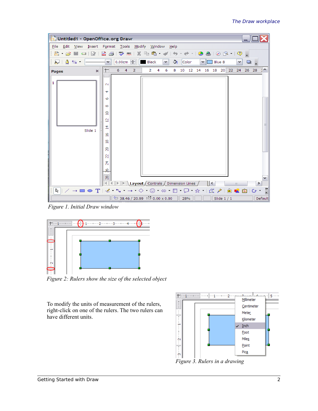

<span id="page-5-0"></span>*Figure 1. Initial Draw window*



*Figure 2: Rulers show the size of the selected object*

To modify the units of measurement of the rulers, right-click on one of the rulers. The two rulers can have different units.



*Figure 3. Rulers in a drawing*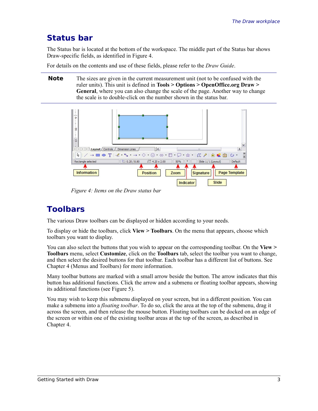### <span id="page-6-0"></span>**Status bar**

The Status bar is located at the bottom of the workspace. The middle part of the Status bar shows Draw-specific fields, as identified in [Figure 4.](#page-6-2)

For details on the contents and use of these fields, please refer to the *Draw Guide*.

**Note** The sizes are given in the current measurement unit (not to be confused with the ruler units). This unit is defined in **Tools > Options > OpenOffice.org Draw > General**, where you can also change the scale of the page. Another way to change the scale is to double-click on the number shown in the status bar.



<span id="page-6-2"></span>*Figure 4: Items on the Draw status bar*

### <span id="page-6-1"></span>**Toolbars**

The various Draw toolbars can be displayed or hidden according to your needs.

To display or hide the toolbars, click **View > Toolbars**. On the menu that appears, choose which toolbars you want to display.

You can also select the buttons that you wish to appear on the corresponding toolbar. On the **View > Toolbars** menu, select **Customize**, click on the **Toolbars** tab, select the toolbar you want to change, and then select the desired buttons for that toolbar. Each toolbar has a different list of buttons. See Chapter 4 (Menus and Toolbars) for more information.

Many toolbar buttons are marked with a small arrow beside the button. The arrow indicates that this button has additional functions. Click the arrow and a submenu or floating toolbar appears, showing its additional functions (see Figure [5\)](#page-7-2).

You may wish to keep this submenu displayed on your screen, but in a different position. You can make a submenu into a *floating toolbar*. To do so, click the area at the top of the submenu, drag it across the screen, and then release the mouse button. Floating toolbars can be docked on an edge of the screen or within one of the existing toolbar areas at the top of the screen, as described in Chapter 4.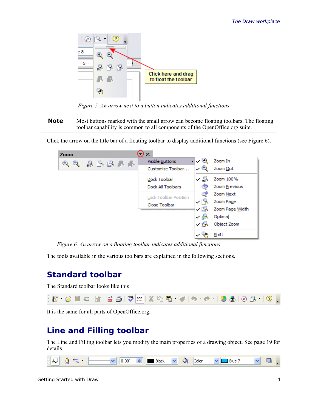

*Figure 5. An arrow next to a button indicates additional functions*

<span id="page-7-2"></span>**Note** Most buttons marked with the small arrow can become floating toolbars. The floating toolbar capability is common to all components of the OpenOffice.org suite.

Click the arrow on the title bar of a floating toolbar to display additional functions (see Figure [6\)](#page-7-3).



*Figure 6. An arrow on a floating toolbar indicates additional functions*

<span id="page-7-3"></span>The tools available in the various toolbars are explained in the following sections.

### <span id="page-7-1"></span>**Standard toolbar**

The Standard toolbar looks like this:



It is the same for all parts of OpenOffice.org.

### <span id="page-7-0"></span>**Line and Filling toolbar**

The Line and Filling toolbar lets you modify the main properties of a drawing object. See page [19](#page-22-0) for details.

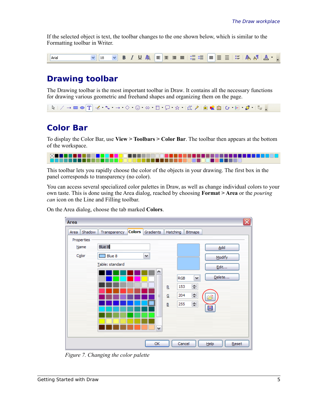If the selected object is text, the toolbar changes to the one shown below, which is similar to the Formatting toolbar in Writer.

| $\frac{1}{2}$ Arial |  |  |  |  |  |  |  | ▽│18 ▽│B /│U│AN││≣│≣│≣│≡│∭≡│≣│≣│≡│∴│An,∧5││A |
|---------------------|--|--|--|--|--|--|--|----------------------------------------------|
|---------------------|--|--|--|--|--|--|--|----------------------------------------------|

### <span id="page-8-1"></span>**Drawing toolbar**

The Drawing toolbar is the most important toolbar in Draw. It contains all the necessary functions for drawing various geometric and freehand shapes and organizing them on the page.

░░░░░░░░░░░░░░░░░░░░░░░░░░░░░░░░░░░░

### <span id="page-8-0"></span>**Color Bar**

To display the Color Bar, use **View > Toolbars > Color Bar**. The toolbar then appears at the bottom of the workspace.

T T T T

This toolbar lets you rapidly choose the color of the objects in your drawing. The first box in the panel corresponds to transparency (no color).

You can access several specialized color palettes in Draw, as well as change individual colors to your own taste. This is done using the Area dialog, reached by choosing **Format > Area** or the *pouring can* icon on the Line and Filling toolbar.

On the Area dialog, choose the tab marked **Colors**.



*Figure 7. Changing the color palette*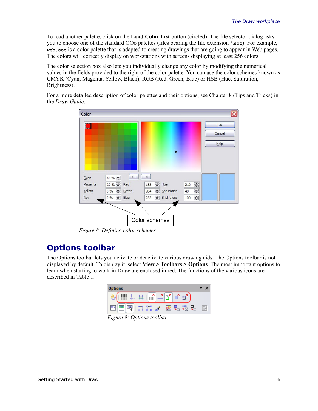To load another palette, click on the **Load Color List** button (circled). The file selector dialog asks you to choose one of the standard OOo palettes (files bearing the file extension **\*.soc**). For example, **web.soc** is a color palette that is adapted to creating drawings that are going to appear in Web pages. The colors will correctly display on workstations with screens displaying at least 256 colors.

The color selection box also lets you individually change any color by modifying the numerical values in the fields provided to the right of the color palette. You can use the color schemes known as CMYK (Cyan, Magenta, Yellow, Black), RGB (Red, Green, Blue) or HSB (Hue, Saturation, Brightness).

For a more detailed description of color palettes and their options, see Chapter 8 (Tips and Tricks) in the *Draw Guide*.

| Color   |                       |                                      | ≅                                 |
|---------|-----------------------|--------------------------------------|-----------------------------------|
| $\Box$  |                       |                                      | OK<br>Cancel<br>$He$ <sub>p</sub> |
|         |                       | $\Box$                               |                                   |
| Cyan    | $\leftarrow$<br>40% 金 | $\rightarrow$                        |                                   |
| Magenta | 20%图<br>Red           | 81<br>153<br>Hue<br>210              | ⊜                                 |
| Yellow  | 0% 图<br>Green         | 81<br>Saturation<br>204<br>40        | 종                                 |
| Key     | 0% 图<br>Blue          | 8<br><b>Brightness</b><br>255<br>100 | ⊜                                 |
|         |                       | Color schemes                        |                                   |

*Figure 8. Defining color schemes*

### <span id="page-9-0"></span>**Options toolbar**

The Options toolbar lets you activate or deactivate various drawing aids. The Options toolbar is not displayed by default. To display it, select **View > Toolbars > Options**. The most important options to learn when starting to work in Draw are enclosed in red. The functions of the various icons are described in [Table 1.](#page-10-1)

| <b>Options</b>                                         |   |    |            |  |
|--------------------------------------------------------|---|----|------------|--|
| <br><b>Commodor</b><br><b><i>Committee</i></b><br><br> |   |    |            |  |
| <b>RBC</b><br>$\Box$ $\Box$ $\mathscr{L}$              | 黃 | N. | <b>RBC</b> |  |
| Figure 9: Options toolbar                              |   |    |            |  |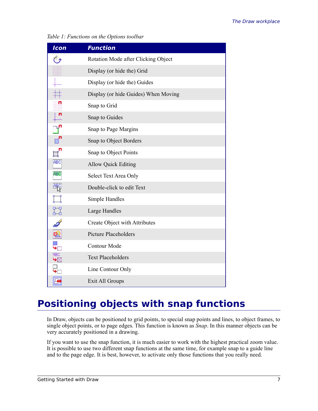| Icon         | <b>Function</b>                      |
|--------------|--------------------------------------|
|              | Rotation Mode after Clicking Object  |
|              | Display (or hide the) Grid           |
|              | Display (or hide the) Guides         |
|              | Display (or hide Guides) When Moving |
|              | Snap to Grid                         |
|              | Snap to Guides                       |
|              | Snap to Page Margins                 |
|              | Snap to Object Borders               |
|              | Snap to Object Points                |
| ABC          | <b>Allow Quick Editing</b>           |
| ABC          | Select Text Area Only                |
| 嘿            | Double-click to edit Text            |
|              | Simple Handles                       |
| $\mathbb{H}$ | Large Handles                        |
| Í            | Create Object with Attributes        |
| 闽            | <b>Picture Placeholders</b>          |
|              | Contour Mode                         |
| ABC<br>ิ ≯⊠  | <b>Text Placeholders</b>             |
|              | Line Contour Only                    |
| F.           | Exit All Groups                      |

<span id="page-10-1"></span>*Table 1: Functions on the Options toolbar*

# <span id="page-10-0"></span>**Positioning objects with snap functions**

In Draw, objects can be positioned to grid points, to special snap points and lines, to object frames, to single object points, or to page edges. This function is known as *Snap*. In this manner objects can be very accurately positioned in a drawing.

If you want to use the snap function, it is much easier to work with the highest practical zoom value. It is possible to use two different snap functions at the same time, for example snap to a guide line and to the page edge. It is best, however, to activate only those functions that you really need.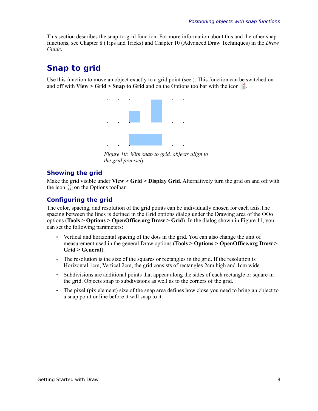This section describes the snap-to-grid function. For more information about this and the other snap functions, see Chapter 8 (Tips and Tricks) and Chapter 10 (Advanced Draw Techniques) in the *Draw Guide*.

### <span id="page-11-2"></span>**Snap to grid**

Use this function to move an object exactly to a grid point (see [\)](#page-11-3). This function can be switched on and off with **View > Grid > Snap to Grid** and on the Options toolbar with the icon  $\frac{10}{10}$ .

<span id="page-11-3"></span>

*Figure 10: With snap to grid, objects align to the grid precisely.*

#### <span id="page-11-1"></span>**Showing the grid**

Make the grid visible under **View > Grid > Display Grid**. Alternatively turn the grid on and off with the icon  $\equiv$  on the Options toolbar.

#### <span id="page-11-0"></span>**Configuring the grid**

The color, spacing, and resolution of the grid points can be individually chosen for each axis.The spacing between the lines is defined in the Grid options dialog under the Drawing area of the OOo options (**Tools > Options > OpenOffice.org Draw > Grid**). In the dialog shown in [Figure 11,](#page-12-2) you can set the following parameters:

- Vertical and horizontal spacing of the dots in the grid. You can also change the unit of measurement used in the general Draw options (**Tools > Options > OpenOffice.org Draw > Grid > General**).
- The resolution is the size of the squares or rectangles in the grid. If the resolution is Horizontal 1cm, Vertical 2cm, the grid consists of rectangles 2cm high and 1cm wide.
- Subdivisions are additional points that appear along the sides of each rectangle or square in the grid. Objects snap to subdivisions as well as to the corners of the grid.
- The pixel (pix element) size of the snap area defines how close you need to bring an object to a snap point or line before it will snap to it.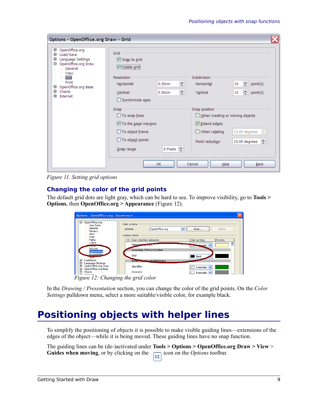| Options - OpenOffice.org Draw - Grid                                                                                                                                                               |                                                                                                                                                                                                                                                                                                                  |                                                                                                                                                                                                                                                                                                       |
|----------------------------------------------------------------------------------------------------------------------------------------------------------------------------------------------------|------------------------------------------------------------------------------------------------------------------------------------------------------------------------------------------------------------------------------------------------------------------------------------------------------------------|-------------------------------------------------------------------------------------------------------------------------------------------------------------------------------------------------------------------------------------------------------------------------------------------------------|
| Œ<br>OpenOffice.org<br>Load/Save<br>田<br>Œ<br>Language Settings<br>Θ<br>OpenOffice.org Draw<br>General<br>View<br>Grid<br>Print<br>OpenOffice.org Base<br>Œ<br>田<br>Charts<br>田<br><b>Internet</b> | Grid<br>⊠ Snap to grid<br>☑ Visible grid<br>Resolution<br>$\div$<br>0.50cm<br>Horizontal<br>$\Rightarrow$<br>Vertical<br>0.50cm<br>Synchronize axes<br><b>Snap</b><br>$\Box$ To snap lines<br>$\triangledown$ To the page margins<br>$\Box$ To object frame<br>$\Box$ To object points<br>5 Pixels<br>Snap range | Subdivision<br>高<br>point(s)<br>10<br>Horizontal<br>高<br>10<br>point(s)<br>Vertical<br>Snap position<br>When creating or moving objects<br>Extend edges<br>$\stackrel{\scriptscriptstyle \wedge}{\scriptscriptstyle \vee}$<br>15.00 degrees<br>When rotating<br>۵<br>15.00 degrees<br>Point reduction |
|                                                                                                                                                                                                    | OK                                                                                                                                                                                                                                                                                                               | Cancel<br>Help<br><b>Back</b>                                                                                                                                                                                                                                                                         |

<span id="page-12-2"></span>*Figure 11. Setting grid options*

#### <span id="page-12-1"></span>**Changing the color of the grid points**

The default grid dots are light gray, which can be hard to see. To improve visibility, go to **Tools > Options**, then **OpenOffice.org > Appearance** [\(Figure 12\)](#page-12-3).

| Options - OpenOffice.org - Appearance                                                                                                         |                                                                                                                                             |
|-----------------------------------------------------------------------------------------------------------------------------------------------|---------------------------------------------------------------------------------------------------------------------------------------------|
| 日<br>OpenOffice.org<br><b>User Data</b><br>General<br>Memory<br>View<br>Print                                                                 | Color scheme<br>$\checkmark$<br>Delete<br>Scheme<br>OpenOffice.org<br>Save<br>Custom colors                                                 |
| Paths<br>Colors<br><b>ANTILLED</b><br>Security<br>Appearance<br><b>Accessibility</b>                                                          | On User interface elements<br>Color setting<br>Preview<br>Notes bedro cand<br><b>Winternatic</b> V<br><b>Drawing / Presentation</b><br>Grid |
| Jawa<br>Load/Save<br>田<br>Language Settings<br>田<br>OpenOffice.org Draw<br>田<br>OpenOffice.org Base<br>田<br>田<br>Charts<br><b>CO</b> Takanask | <b>Black</b><br><b>Basic 3, May Highlighting</b><br>Identifier<br>Automatic V<br>Comment<br>Automatic V                                     |
| Figure 12: Changing the grid color                                                                                                            |                                                                                                                                             |

<span id="page-12-3"></span>In the *Drawing / Presentation* section, you can change the color of the grid points. On the *Color Settings* pulldown menu, select a more suitable/visible color, for example black.

# <span id="page-12-0"></span>**Positioning objects with helper lines**

To simplify the positioning of objects it is possible to make visible guiding lines—extensions of the edges of the object—while it is being moved. These guiding lines have no snap function.

The guiding lines can be (de-)activated under **Tools > Options > OpenOffice.org Draw > View > Guides when moving**, or by clicking on the  $\frac{1}{|\pm 1|}$  icon on the *Options* toolbar. **Guides when moving**, or by clicking on the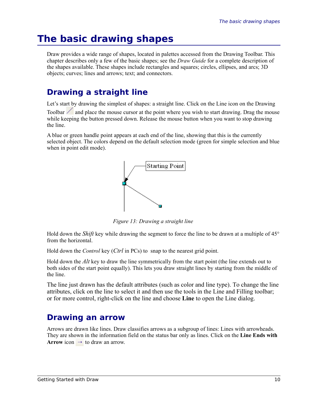# <span id="page-13-2"></span>**The basic drawing shapes**

Draw provides a wide range of shapes, located in palettes accessed from the Drawing Toolbar. This chapter describes only a few of the basic shapes; see the *Draw Guide* for a complete description of the shapes available. These shapes include rectangles and squares; circles, ellipses, and arcs; 3D objects; curves; lines and arrows; text; and connectors.

### <span id="page-13-1"></span>**Drawing a straight line**

Let's start by drawing the simplest of shapes: a straight line. Click on the Line icon on the Drawing

Toolbar and place the mouse cursor at the point where you wish to start drawing. Drag the mouse while keeping the button pressed down. Release the mouse button when you want to stop drawing the line.

A blue or green handle point appears at each end of the line, showing that this is the currently selected object. The colors depend on the default selection mode (green for simple selection and blue when in point edit mode).



*Figure 13: Drawing a straight line*

Hold down the *Shift* key while drawing the segment to force the line to be drawn at a multiple of 45° from the horizontal.

Hold down the *Control* key (*Ctrl* in PCs) to snap to the nearest grid point.

Hold down the *Alt* key to draw the line symmetrically from the start point (the line extends out to both sides of the start point equally). This lets you draw straight lines by starting from the middle of the line.

The line just drawn has the default attributes (such as color and line type). To change the line attributes, click on the line to select it and then use the tools in the Line and Filling toolbar; or for more control, right-click on the line and choose **Line** to open the Line dialog.

### <span id="page-13-0"></span>**Drawing an arrow**

Arrows are drawn like lines. Draw classifies arrows as a subgroup of lines: Lines with arrowheads. They are shown in the information field on the status bar only as lines. Click on the **Line Ends with Arrow** icon  $\rightarrow$  to draw an arrow.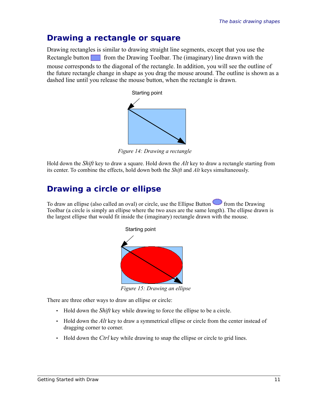### <span id="page-14-1"></span>**Drawing a rectangle or square**

Drawing rectangles is similar to drawing straight line segments, except that you use the Rectangle button  $\Box$  from the Drawing Toolbar. The (imaginary) line drawn with the mouse corresponds to the diagonal of the rectangle. In addition, you will see the outline of the future rectangle change in shape as you drag the mouse around. The outline is shown as a dashed line until you release the mouse button, when the rectangle is drawn.



*Figure 14: Drawing a rectangle*

Hold down the *Shift* key to draw a square. Hold down the *Alt* key to draw a rectangle starting from its center. To combine the effects, hold down both the *Shift* and *Alt* keys simultaneously.

### <span id="page-14-0"></span>**Drawing a circle or ellipse**

To draw an ellipse (also called an oval) or circle, use the Ellipse Button  $\Box$  from the Drawing Toolbar (a circle is simply an ellipse where the two axes are the same length). The ellipse drawn is the largest ellipse that would fit inside the (imaginary) rectangle drawn with the mouse.



*Figure 15: Drawing an ellipse*

There are three other ways to draw an ellipse or circle:

- Hold down the *Shift* key while drawing to force the ellipse to be a circle.
- Hold down the *Alt* key to draw a symmetrical ellipse or circle from the center instead of dragging corner to corner.
- Hold down the *Ctrl* key while drawing to snap the ellipse or circle to grid lines.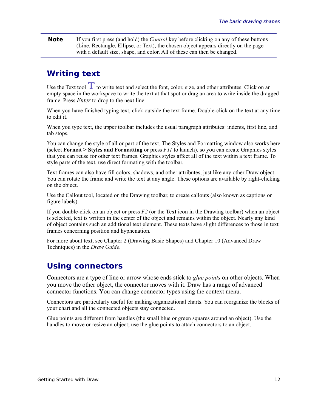#### **Note** If you first press (and hold) the *Control* key before clicking on any of these buttons (Line, Rectangle, Ellipse, or Text), the chosen object appears directly on the page with a default size, shape, and color. All of these can then be changed.

### <span id="page-15-1"></span>**Writing text**

Use the Text tool  $\Gamma$  to write text and select the font, color, size, and other attributes. Click on an empty space in the workspace to write the text at that spot or drag an area to write inside the dragged frame. Press *Enter* to drop to the next line.

When you have finished typing text, click outside the text frame. Double-click on the text at any time to edit it.

When you type text, the upper toolbar includes the usual paragraph attributes: indents, first line, and tab stops.

You can change the style of all or part of the text. The Styles and Formatting window also works here (select **Format > Styles and Formatting** or press *F11* to launch), so you can create Graphics styles that you can reuse for other text frames. Graphics styles affect all of the text within a text frame. To style parts of the text, use direct formating with the toolbar.

Text frames can also have fill colors, shadows, and other attributes, just like any other Draw object. You can rotate the frame and write the text at any angle. These options are available by right-clicking on the object.

Use the Callout tool, located on the Drawing toolbar, to create callouts (also known as captions or figure labels).

If you double-click on an object or press *F2* (or the **Text** icon in the Drawing toolbar) when an object is selected, text is written in the center of the object and remains within the object. Nearly any kind of object contains such an additional text element. These texts have slight differences to those in text frames concerning position and hyphenation.

For more about text, see Chapter 2 (Drawing Basic Shapes) and Chapter 10 (Advanced Draw Techniques) in the *Draw Guide*.

### <span id="page-15-0"></span>**Using connectors**

Connectors are a type of line or arrow whose ends stick to *glue points* on other objects. When you move the other object, the connector moves with it. Draw has a range of advanced connector functions. You can change connector types using the context menu.

Connectors are particularly useful for making organizational charts. You can reorganize the blocks of your chart and all the connected objects stay connected.

Glue points are different from handles (the small blue or green squares around an object). Use the handles to move or resize an object; use the glue points to attach connectors to an object.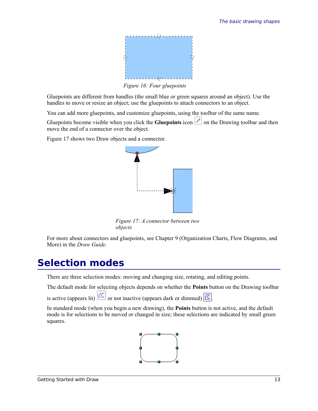

*Figure 16: Four gluepoints*

Gluepoints are different from handles (the small blue or green squares around an object). Use the handles to move or resize an object; use the gluepoints to attach connectors to an object.

You can add more gluepoints, and customize gluepoints, using the toolbar of the same name.

Gluepoints become visible when you click the **Gluepoints** icon  $\ell$  on the Drawing toolbar and then move the end of a connector over the object.

[Figure 17](#page-16-1) shows two Draw objects and a connector.



<span id="page-16-1"></span>*Figure 17: A connector between two objects*

For more about connectors and gluepoints, see Chapter 9 (Organization Charts, Flow Diagrams, and More) in the *Draw Guide*.

# <span id="page-16-0"></span>**Selection modes**

There are three selection modes: moving and changing size, rotating, and editing points.

The default mode for selecting objects depends on whether the **Points** button on the Drawing toolbar

is active (appears lit)  $\mathbb{E}$  or not inactive (appears dark or dimmed)  $\mathbb{E}$ .

In standard mode (when you begin a new drawing), the **Points** button is not active, and the default mode is for selections to be moved or changed in size; these selections are indicated by small green squares.

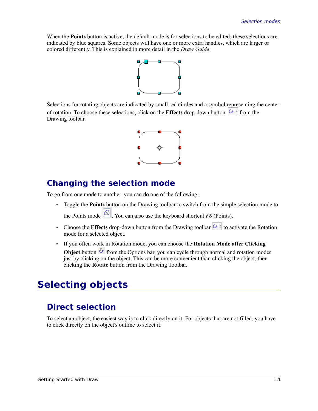When the **Points** button is active, the default mode is for selections to be edited; these selections are indicated by blue squares. Some objects will have one or more extra handles, which are larger or colored differently. This is explained in more detail in the *Draw Guide*.



Selections for rotating objects are indicated by small red circles and a symbol representing the center of rotation. To choose these selections, click on the **Effects** drop-down button  $\begin{bmatrix} \mathbf{G} \end{bmatrix}$  from the Drawing toolbar.



### <span id="page-17-2"></span>**Changing the selection mode**

To go from one mode to another, you can do one of the following:

• Toggle the **Points** button on the Drawing toolbar to switch from the simple selection mode to

the Points mode  $\mathbb{Z}$ . You can also use the keyboard shortcut *F8* (Points).

- Choose the **Effects** drop-down button from the Drawing toolbar  $\boxed{G}$  to activate the Rotation mode for a selected object.
- If you often work in Rotation mode, you can choose the **Rotation Mode after Clicking Object** button  $\mathfrak{G}$  from the Options bar, you can cycle through normal and rotation modes just by clicking on the object. This can be more convenient than clicking the object, then clicking the **Rotate** button from the Drawing Toolbar.

# <span id="page-17-1"></span>**Selecting objects**

### <span id="page-17-0"></span>**Direct selection**

To select an object, the easiest way is to click directly on it. For objects that are not filled, you have to click directly on the object's outline to select it.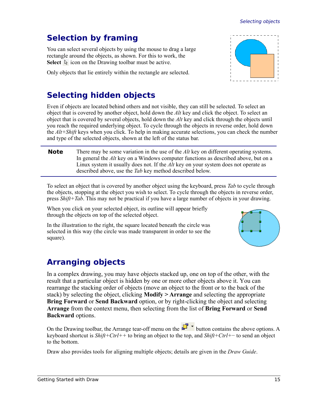#### Selecting objects

### <span id="page-18-2"></span>**Selection by framing**

You can select several objects by using the mouse to drag a large rectangle around the objects, as shown. For this to work, the **Select**  $\&$  icon on the Drawing toolbar must be active.

Only objects that lie entirely within the rectangle are selected.

### <span id="page-18-1"></span>**Selecting hidden objects**

Even if objects are located behind others and not visible, they can still be selected. To select an object that is covered by another object, hold down the *Alt* key and click the object. To select an object that is covered by several objects, hold down the *Alt* key and click through the objects until you reach the required underlying object. To cycle through the objects in reverse order, hold down the *Alt+Shift* keys when you click. To help in making accurate selections, you can check the number and type of the selected objects, shown at the left of the status bar.

**Note** There may be some variation in the use of the *Alt* key on different operating systems. In general the *Alt* key on a Windows computer functions as described above, but on a Linux system it usually does not. If the *Alt* key on your system does not operate as described above, use the *Tab* key method described below.

To select an object that is covered by another object using the keyboard, press *Tab* to cycle through the objects, stopping at the object you wish to select. To cycle through the objects in reverse order, press *Shift+Tab*. This may not be practical if you have a large number of objects in your drawing.

When you click on your selected object, its outline will appear briefly through the objects on top of the selected object.

In the illustration to the right, the square located beneath the circle was selected in this way (the circle was made transparent in order to see the square).

### <span id="page-18-0"></span>**Arranging objects**

In a complex drawing, you may have objects stacked up, one on top of the other, with the result that a particular object is hidden by one or more other objects above it. You can rearrange the stacking order of objects (move an object to the front or to the back of the stack) by selecting the object, clicking **Modify > Arrange** and selecting the appropriate **Bring Forward** or **Send Backward** option, or by right-clicking the object and selecting **Arrange** from the context menu, then selecting from the list of **Bring Forward** or **Send Backward** options.

On the Drawing toolbar, the Arrange tear-off menu on the  $\mathbf{F}$   $\mathbf{F}$  button contains the above options. A keyboard shortcut is *Shift+Ctrl++* to bring an object to the top, and *Shift+Ctrl+*− to send an object to the bottom.

Draw also provides tools for aligning multiple objects; details are given in the *Draw Guide*.



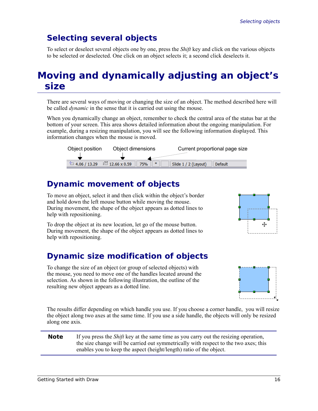### <span id="page-19-3"></span>**Selecting several objects**

To select or deselect several objects one by one, press the *Shift* key and click on the various objects to be selected or deselected. One click on an object selects it; a second click deselects it.

# <span id="page-19-2"></span>**Moving and dynamically adjusting an object's size**

There are several ways of moving or changing the size of an object. The method described here will be called *dynamic* in the sense that it is carried out using the mouse.

When you dynamically change an object, remember to check the central area of the status bar at the bottom of your screen. This area shows detailed information about the ongoing manipulation. For example, during a resizing manipulation, you will see the following information displayed. This information changes when the mouse is moved.

| Object position  | Object dimensions                    | Current proportional page size         |
|------------------|--------------------------------------|----------------------------------------|
|                  |                                      |                                        |
| $\pm 4.06/13.29$ | $12.66 \times 0.59$<br>$\ast$<br>75% | Slide 1 / 2 (Layout)<br><b>Default</b> |

### <span id="page-19-1"></span>**Dynamic movement of objects**

To move an object, select it and then click within the object's border and hold down the left mouse button while moving the mouse. During movement, the shape of the object appears as dotted lines to help with repositioning.

To drop the object at its new location, let go of the mouse button. During movement, the shape of the object appears as dotted lines to help with repositioning.

### <span id="page-19-0"></span>**Dynamic size modification of objects**

To change the size of an object (or group of selected objects) with the mouse, you need to move one of the handles located around the selection. As shown in the following illustration, the outline of the resulting new object appears as a dotted line.



The results differ depending on which handle you use. If you choose a corner handle, you will resize the object along two axes at the same time. If you use a side handle, the objects will only be resized along one axis.

**Note** If you press the *Shift* key at the same time as you carry out the resizing operation, the size change will be carried out symmetrically with respect to the two axes; this enables you to keep the aspect (height/length) ratio of the object.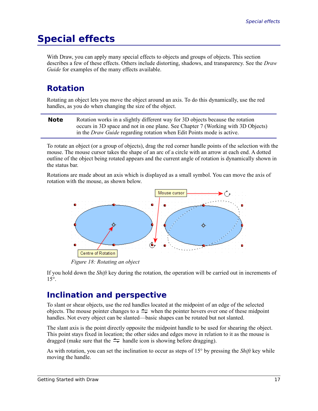# <span id="page-20-2"></span>**Special effects**

With Draw, you can apply many special effects to objects and groups of objects. This section describes a few of these effects. Others include distorting, shadows, and transparency. See the *Draw Guide* for examples of the many effects available.

### <span id="page-20-1"></span>**Rotation**

Rotating an object lets you move the object around an axis. To do this dynamically, use the red handles, as you do when changing the size of the object.

**Note** Rotation works in a slightly different way for 3D objects because the rotation occurs in 3D space and not in one plane. See Chapter 7 (Working with 3D Objects) in the *Draw Guide* regarding rotation when Edit Points mode is active.

To rotate an object (or a group of objects), drag the red corner handle points of the selection with the mouse. The mouse cursor takes the shape of an arc of a circle with an arrow at each end. A dotted outline of the object being rotated appears and the current angle of rotation is dynamically shown in the status bar.

Rotations are made about an axis which is displayed as a small symbol. You can move the axis of rotation with the mouse, as shown below.



*Figure 18: Rotating an object*

If you hold down the *Shift* key during the rotation, the operation will be carried out in increments of 15°.

### <span id="page-20-0"></span>**Inclination and perspective**

To slant or shear objects, use the red handles located at the midpoint of an edge of the selected objects. The mouse pointer changes to  $a \rightleftarrows$  when the pointer hovers over one of these midpoint handles. Not every object can be slanted—basic shapes can be rotated but not slanted.

The slant axis is the point directly opposite the midpoint handle to be used for shearing the object. This point stays fixed in location; the other sides and edges move in relation to it as the mouse is dragged (make sure that the  $\equiv$  handle icon is showing before dragging).

As with rotation, you can set the inclination to occur as steps of 15° by pressing the *Shift* key while moving the handle.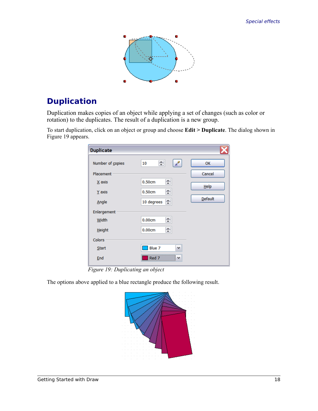

### <span id="page-21-0"></span>**Duplication**

Duplication makes copies of an object while applying a set of changes (such as color or rotation) to the duplicates. The result of a duplication is a new group.

To start duplication, click on an object or group and choose **Edit > Duplicate**. The dialog shown in [Figure 19](#page-21-1) appears.

| <b>Duplicate</b> |                  |                |
|------------------|------------------|----------------|
| Number of copies | $\div$<br>10     | OK             |
| Placement        |                  | Cancel         |
| X axis           | €<br>0.50cm      | Help           |
| Y axis           | 싃<br>0.50cm      |                |
| Angle            | 등<br>10 degrees  | <b>Default</b> |
| Enlargement      |                  |                |
| Width            | ÷<br>0.00cm      |                |
| Height           | $\div$<br>0.00cm |                |
| <b>Colors</b>    |                  |                |
| Start            | Blue 7<br>v      |                |
| End              | v<br>Red         |                |

<span id="page-21-1"></span>*Figure 19: Duplicating an object*

The options above applied to a blue rectangle produce the following result.

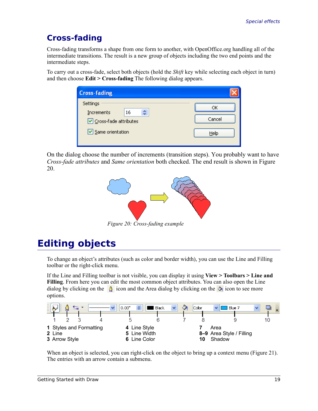### <span id="page-22-1"></span>**Cross-fading**

Cross-fading transforms a shape from one form to another, with OpenOffice.org handling all of the intermediate transitions. The result is a new group of objects including the two end points and the intermediate steps.

To carry out a cross-fade, select both objects (hold the *Shift* key while selecting each object in turn) and then choose **Edit > Cross-fading** The following dialog appears.

| <b>Cross-fading</b>          |         |
|------------------------------|---------|
| Settings<br>Increments<br>16 | ОК<br>۰ |
| ☑ Cross-fade attributes      | Cancel  |
| $\vee$ Same orientation      | Help    |
|                              |         |

On the dialog choose the number of increments (transition steps). You probably want to have *Cross-fade attributes* and *Same orientation* both checked. The end result is shown in [Figure](#page-22-2) [20.](#page-22-2)



<span id="page-22-2"></span>*Figure 20: Cross-fading example*

# <span id="page-22-0"></span>**Editing objects**

To change an object's attributes (such as color and border width), you can use the Line and Filling toolbar or the right-click menu.

If the Line and Filling toolbar is not visible, you can display it using **View > Toolbars > Line and Filling**. From here you can edit the most common object attributes. You can also open the Line dialog by clicking on the  $\triangle$  icon and the Area dialog by clicking on the  $\triangle$  icon to see more options.



When an object is selected, you can right-click on the object to bring up a context menu [\(Figure 21\)](#page-23-1). The entries with an arrow contain a submenu.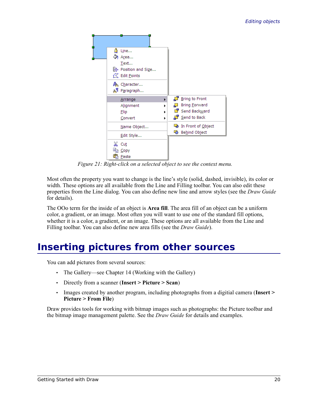|  | Line                     |   |        |                        |
|--|--------------------------|---|--------|------------------------|
|  | Area                     |   |        |                        |
|  | Text                     |   |        |                        |
|  | Position and Size        |   |        |                        |
|  | Edit Points              |   |        |                        |
|  | A <sub>D</sub> Character |   |        |                        |
|  | ரி P <u>a</u> ragraph    |   |        |                        |
|  | <b>Arrange</b>           |   |        | <b>Bring to Front</b>  |
|  | Alignment                |   | المساء | <b>Bring Forward</b>   |
|  | <b>Elip</b>              |   |        | Send Backward          |
|  | Convert                  | ٠ |        | Send to Back           |
|  | Name Object              |   |        | In Front of Object     |
|  | Edit Style               |   |        | <b>b</b> Behind Object |
|  |                          |   |        |                        |
|  | ‰ Cut                    |   |        |                        |
|  | Copy                     |   |        |                        |
|  | Paste                    |   |        |                        |

<span id="page-23-1"></span>*Figure 21: Right-click on a selected object to see the context menu.*

Most often the property you want to change is the line's style (solid, dashed, invisible), its color or width. These options are all available from the Line and Filling toolbar. You can also edit these properties from the Line dialog. You can also define new line and arrow styles (see the *Draw Guide* for details).

The OOo term for the inside of an object is **Area fill**. The area fill of an object can be a uniform color, a gradient, or an image. Most often you will want to use one of the standard fill options, whether it is a color, a gradient, or an image. These options are all available from the Line and Filling toolbar. You can also define new area fills (see the *Draw Guide*).

### <span id="page-23-0"></span>**Inserting pictures from other sources**

You can add pictures from several sources:

- The Gallery—see Chapter 14 (Working with the Gallery)
- Directly from a scanner (**Insert > Picture > Scan**)
- Images created by another program, including photographs from a digitial camera (**Insert > Picture > From File**)

Draw provides tools for working with bitmap images such as photographs: the Picture toolbar and the bitmap image management palette. See the *Draw Guide* for details and examples.